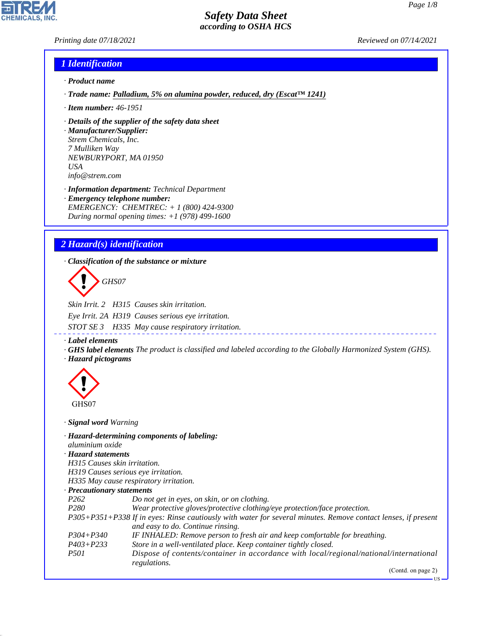US

# *Safety Data Sheet according to OSHA HCS*

#### *Printing date 07/18/2021 Reviewed on 07/14/2021*

**CHEMICALS, INC** 

# *1 Identification*

- *· Product name*
- *· Trade name: Palladium, 5% on alumina powder, reduced, dry (Escat™ 1241)*
- *· Item number: 46-1951*
- *· Details of the supplier of the safety data sheet*
- *· Manufacturer/Supplier: Strem Chemicals, Inc. 7 Mulliken Way NEWBURYPORT, MA 01950 USA info@strem.com*
- *· Information department: Technical Department · Emergency telephone number: EMERGENCY: CHEMTREC: + 1 (800) 424-9300 During normal opening times: +1 (978) 499-1600*

# *2 Hazard(s) identification*

*· Classification of the substance or mixture*

d~*GHS07*

*Skin Irrit. 2 H315 Causes skin irritation. Eye Irrit. 2A H319 Causes serious eye irritation. STOT SE 3 H335 May cause respiratory irritation.*

*· Label elements*

*· GHS label elements The product is classified and labeled according to the Globally Harmonized System (GHS). · Hazard pictograms*



44.1.1

*· Signal word Warning*

| aluminium oxide                     | · Hazard-determining components of labeling:                                                                                                       |
|-------------------------------------|----------------------------------------------------------------------------------------------------------------------------------------------------|
| · Hazard statements                 |                                                                                                                                                    |
| H315 Causes skin irritation.        |                                                                                                                                                    |
| H319 Causes serious eye irritation. |                                                                                                                                                    |
|                                     | H335 May cause respiratory irritation.                                                                                                             |
| · Precautionary statements          |                                                                                                                                                    |
| P <sub>262</sub>                    | Do not get in eyes, on skin, or on clothing.                                                                                                       |
| P <sub>280</sub>                    | Wear protective gloves/protective clothing/eye protection/face protection.                                                                         |
|                                     | P305+P351+P338 If in eyes: Rinse cautiously with water for several minutes. Remove contact lenses, if present<br>and easy to do. Continue rinsing. |
| $P304 + P340$                       | IF INHALED: Remove person to fresh air and keep comfortable for breathing.                                                                         |
| $P403 + P233$                       | Store in a well-ventilated place. Keep container tightly closed.                                                                                   |
| <i>P501</i>                         | Dispose of contents/container in accordance with local/regional/national/international<br>regulations.                                             |
|                                     | (Contd. on page 2)                                                                                                                                 |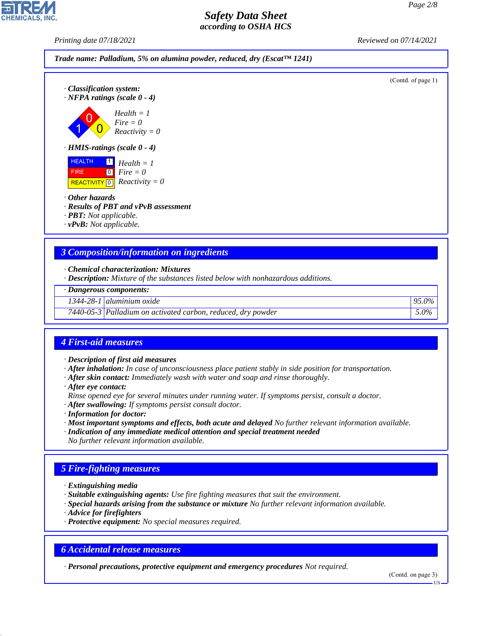*Printing date 07/18/2021 Reviewed on 07/14/2021*



- *· Results of PBT and vPvB assessment*
- *· PBT: Not applicable.*
- *· vPvB: Not applicable.*

#### *3 Composition/information on ingredients*

- *· Chemical characterization: Mixtures*
- *· Description: Mixture of the substances listed below with nonhazardous additions.*

|  | · Dangerous components: |
|--|-------------------------|
|--|-------------------------|

*1344-28-1 aluminium oxide 95.0%*

*7440-05-3 Palladium on activated carbon, reduced, dry powder 5.0%*

# *4 First-aid measures*

- *· Description of first aid measures*
- *· After inhalation: In case of unconsciousness place patient stably in side position for transportation.*
- *· After skin contact: Immediately wash with water and soap and rinse thoroughly.*
- *· After eye contact:*
- *Rinse opened eye for several minutes under running water. If symptoms persist, consult a doctor.*
- *· After swallowing: If symptoms persist consult doctor.*
- *· Information for doctor:*
- *· Most important symptoms and effects, both acute and delayed No further relevant information available.*
- *· Indication of any immediate medical attention and special treatment needed*
- *No further relevant information available.*

# *5 Fire-fighting measures*

- *· Extinguishing media*
- *· Suitable extinguishing agents: Use fire fighting measures that suit the environment.*
- *· Special hazards arising from the substance or mixture No further relevant information available.*
- *· Advice for firefighters*

44.1.1

*· Protective equipment: No special measures required.*

#### *6 Accidental release measures*

*· Personal precautions, protective equipment and emergency procedures Not required.*

(Contd. on page 3)

US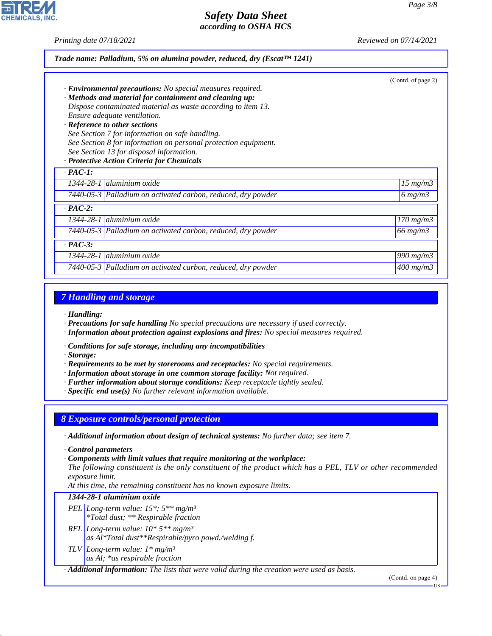**CHEMICALS, INC** 

*Printing date 07/18/2021 Reviewed on 07/14/2021*

|                                                                                                             | (Contd. of page 2) |
|-------------------------------------------------------------------------------------------------------------|--------------------|
| · <b>Environmental precautions:</b> No special measures required.                                           |                    |
| · Methods and material for containment and cleaning up:                                                     |                    |
| Dispose contaminated material as waste according to item 13.                                                |                    |
| Ensure adequate ventilation.                                                                                |                    |
| · Reference to other sections                                                                               |                    |
| See Section 7 for information on safe handling.                                                             |                    |
| See Section 8 for information on personal protection equipment.<br>See Section 13 for disposal information. |                    |
| · Protective Action Criteria for Chemicals                                                                  |                    |
| $\cdot$ PAC-1:                                                                                              |                    |
|                                                                                                             |                    |
| 1344-28-1   aluminium oxide                                                                                 | $15 \ mg/m3$       |
| 7440-05-3 Palladium on activated carbon, reduced, dry powder                                                | $6 \, mg/m3$       |
| $\cdot$ PAC-2:                                                                                              |                    |
| 1344-28-1 aluminium oxide                                                                                   | $170$ mg/m $3$     |
| 7440-05-3 Palladium on activated carbon, reduced, dry powder                                                | $66$ mg/m $3$      |
| $\cdot$ PAC-3:                                                                                              |                    |
| $1344-28-1$ aluminium oxide                                                                                 | 990 mg/m3          |

#### *7 Handling and storage*

*· Handling:*

*· Precautions for safe handling No special precautions are necessary if used correctly.*

*· Information about protection against explosions and fires: No special measures required.*

*· Conditions for safe storage, including any incompatibilities*

*· Storage:*

44.1.1

*· Requirements to be met by storerooms and receptacles: No special requirements.*

*· Information about storage in one common storage facility: Not required.*

*· Further information about storage conditions: Keep receptacle tightly sealed.*

*· Specific end use(s) No further relevant information available.*

*8 Exposure controls/personal protection*

*· Additional information about design of technical systems: No further data; see item 7.*

*· Control parameters*

*· Components with limit values that require monitoring at the workplace:*

*The following constituent is the only constituent of the product which has a PEL, TLV or other recommended exposure limit.*

*At this time, the remaining constituent has no known exposure limits.*

#### *1344-28-1 aluminium oxide*

*PEL Long-term value: 15\*; 5\*\* mg/m³ \*Total dust; \*\* Respirable fraction*

*REL Long-term value: 10\* 5\*\* mg/m³ as Al\*Total dust\*\*Respirable/pyro powd./welding f.*

*TLV Long-term value: 1\* mg/m³ as Al; \*as respirable fraction*

*· Additional information: The lists that were valid during the creation were used as basis.*

(Contd. on page 4)

US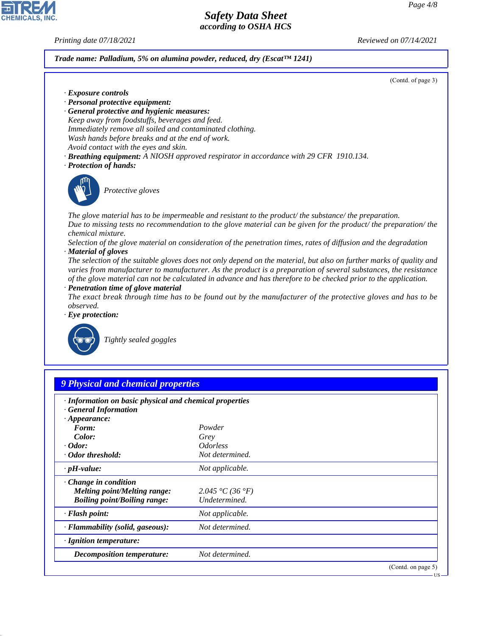*Printing date 07/18/2021 Reviewed on 07/14/2021*

#### *Trade name: Palladium, 5% on alumina powder, reduced, dry (Escat™ 1241)*

(Contd. of page 3)

- *· Exposure controls*
- *· Personal protective equipment:*
- *· General protective and hygienic measures: Keep away from foodstuffs, beverages and feed. Immediately remove all soiled and contaminated clothing. Wash hands before breaks and at the end of work. Avoid contact with the eyes and skin.*
- *· Breathing equipment: A NIOSH approved respirator in accordance with 29 CFR 1910.134.*
- *· Protection of hands:*



\_S*Protective gloves*

*The glove material has to be impermeable and resistant to the product/ the substance/ the preparation. Due to missing tests no recommendation to the glove material can be given for the product/ the preparation/ the chemical mixture.*

*Selection of the glove material on consideration of the penetration times, rates of diffusion and the degradation · Material of gloves*

*The selection of the suitable gloves does not only depend on the material, but also on further marks of quality and varies from manufacturer to manufacturer. As the product is a preparation of several substances, the resistance of the glove material can not be calculated in advance and has therefore to be checked prior to the application.*

*· Penetration time of glove material*

*The exact break through time has to be found out by the manufacturer of the protective gloves and has to be observed.*

*· Eye protection:*



44.1.1

\_R*Tightly sealed goggles*

| · Information on basic physical and chemical properties<br><b>General Information</b> |                               |  |
|---------------------------------------------------------------------------------------|-------------------------------|--|
| $\cdot$ Appearance:                                                                   |                               |  |
| Form:                                                                                 | Powder                        |  |
| Color:<br>$\cdot$ Odor:                                                               | Grey                          |  |
|                                                                                       | <i><u><b>Odorless</b></u></i> |  |
| · Odor threshold:                                                                     | Not determined.               |  |
| $\cdot$ pH-value:                                                                     | Not applicable.               |  |
| Change in condition                                                                   |                               |  |
| <b>Melting point/Melting range:</b>                                                   | 2.045 °C (36 °F)              |  |
| <b>Boiling point/Boiling range:</b>                                                   | Undetermined.                 |  |
| · Flash point:                                                                        | Not applicable.               |  |
| · Flammability (solid, gaseous):                                                      | Not determined.               |  |
| $\cdot$ Ignition temperature:                                                         |                               |  |
| Decomposition temperature:                                                            | Not determined.               |  |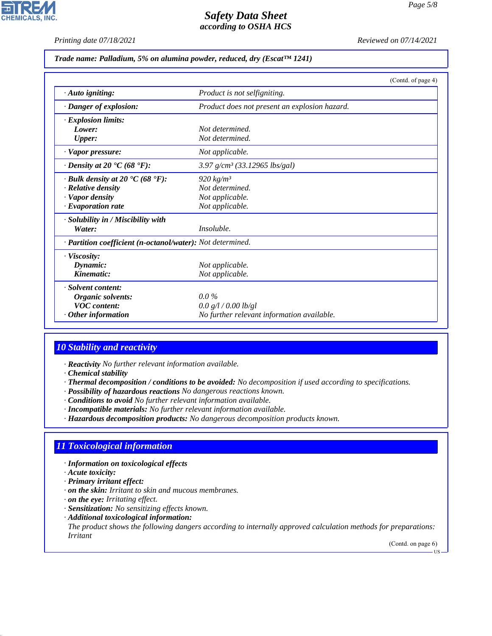*Printing date 07/18/2021 Reviewed on 07/14/2021*

#### *Trade name: Palladium, 5% on alumina powder, reduced, dry (Escat™ 1241)*

|                                                             | (Contd. of page 4)                            |
|-------------------------------------------------------------|-----------------------------------------------|
| $\cdot$ Auto igniting:                                      | Product is not selfigniting.                  |
| · Danger of explosion:                                      | Product does not present an explosion hazard. |
| · Explosion limits:                                         |                                               |
| Lower:                                                      | Not determined.                               |
| <b>Upper:</b>                                               | Not determined.                               |
| · Vapor pressure:                                           | Not applicable.                               |
| $\cdot$ Density at 20 $\textdegree$ C (68 $\textdegree$ F): | $3.97$ g/cm <sup>3</sup> (33.12965 lbs/gal)   |
| $\cdot$ Bulk density at 20 $\cdot$ C (68 $\cdot$ F):        | $920 \ kg/m^3$                                |
| $\cdot$ Relative density                                    | Not determined.                               |
| · Vapor density                                             | Not applicable.                               |
| $\cdot$ Evaporation rate                                    | Not applicable.                               |
| · Solubility in / Miscibility with                          |                                               |
| Water:                                                      | Insoluble.                                    |
| · Partition coefficient (n-octanol/water): Not determined.  |                                               |
| $\cdot$ Viscosity:                                          |                                               |
| Dynamic:                                                    | Not applicable.                               |
| Kinematic:                                                  | Not applicable.                               |
| · Solvent content:                                          |                                               |
| Organic solvents:                                           | $0.0\%$                                       |
| <b>VOC</b> content:                                         | 0.0 g/l / 0.00 lb/gl                          |
| Other information                                           | No further relevant information available.    |

# *10 Stability and reactivity*

*· Reactivity No further relevant information available.*

*· Chemical stability*

*· Thermal decomposition / conditions to be avoided: No decomposition if used according to specifications.*

- *· Possibility of hazardous reactions No dangerous reactions known.*
- *· Conditions to avoid No further relevant information available.*
- *· Incompatible materials: No further relevant information available.*
- *· Hazardous decomposition products: No dangerous decomposition products known.*

# *11 Toxicological information*

- *· Information on toxicological effects*
- *· Acute toxicity:*

44.1.1

- *· Primary irritant effect:*
- *· on the skin: Irritant to skin and mucous membranes.*
- *· on the eye: Irritating effect.*
- *· Sensitization: No sensitizing effects known.*
- *· Additional toxicological information:*

*The product shows the following dangers according to internally approved calculation methods for preparations: Irritant*

(Contd. on page 6) US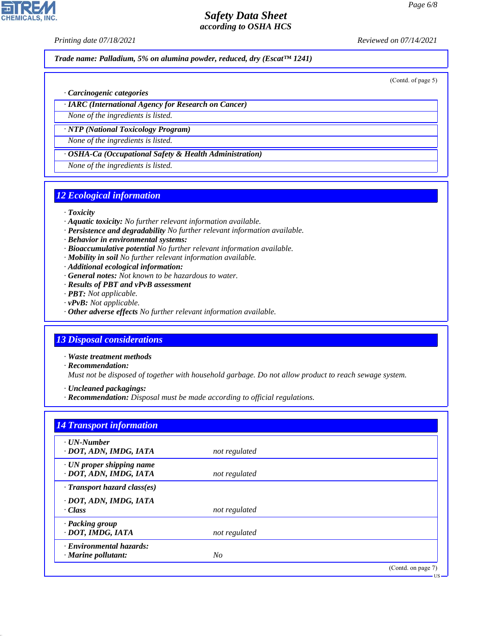*Printing date 07/18/2021 Reviewed on 07/14/2021*

*Trade name: Palladium, 5% on alumina powder, reduced, dry (Escat™ 1241)*

(Contd. of page 5)

- *· Carcinogenic categories*
- *· IARC (International Agency for Research on Cancer)*

*None of the ingredients is listed.*

*· NTP (National Toxicology Program) None of the ingredients is listed.*

*· OSHA-Ca (Occupational Safety & Health Administration)*

*None of the ingredients is listed.*

#### *12 Ecological information*

- *· Toxicity*
- *· Aquatic toxicity: No further relevant information available.*
- *· Persistence and degradability No further relevant information available.*
- *· Behavior in environmental systems:*
- *· Bioaccumulative potential No further relevant information available.*
- *· Mobility in soil No further relevant information available.*
- *· Additional ecological information:*
- *· General notes: Not known to be hazardous to water.*
- *· Results of PBT and vPvB assessment*
- *· PBT: Not applicable.*
- *· vPvB: Not applicable.*
- *· Other adverse effects No further relevant information available.*

# *13 Disposal considerations*

- *· Waste treatment methods*
- *· Recommendation:*

44.1.1

*Must not be disposed of together with household garbage. Do not allow product to reach sewage system.*

*· Uncleaned packagings:*

*· Recommendation: Disposal must be made according to official regulations.*

| · UN-Number                        |               |  |
|------------------------------------|---------------|--|
| · DOT, ADN, IMDG, IATA             | not regulated |  |
| $\cdot$ UN proper shipping name    |               |  |
| · DOT, ADN, IMDG, IATA             | not regulated |  |
| $\cdot$ Transport hazard class(es) |               |  |
| · DOT, ADN, IMDG, IATA             |               |  |
| · Class                            | not regulated |  |
| · Packing group                    |               |  |
| · DOT, IMDG, IATA                  | not regulated |  |
| · Environmental hazards:           |               |  |
| $\cdot$ Marine pollutant:          | $N_{O}$       |  |

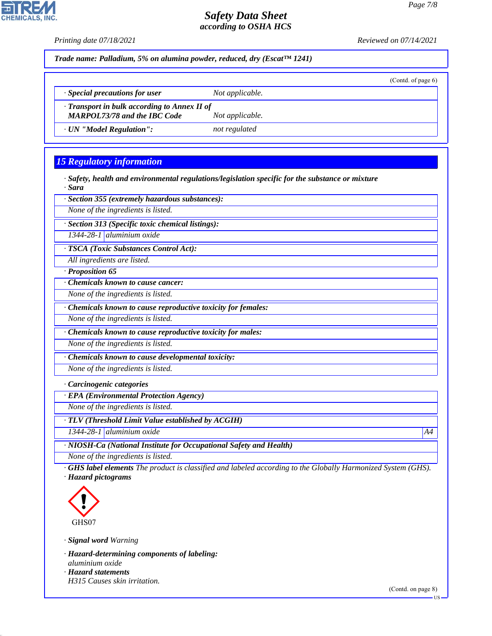

*· NIOSH-Ca (National Institute for Occupational Safety and Health)*

*None of the ingredients is listed.*

*· GHS label elements The product is classified and labeled according to the Globally Harmonized System (GHS). · Hazard pictograms*



44.1.1

*· Signal word Warning*

*· Hazard-determining components of labeling: aluminium oxide · Hazard statements H315 Causes skin irritation.*

US